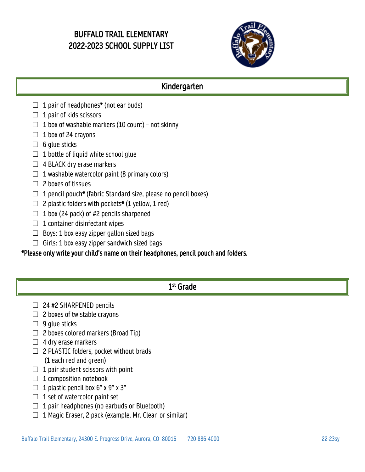# BUFFALO TRAIL ELEMENTARY 2022-2023 SCHOOL SUPPLY LIST



# Kindergarten

- $\Box$  1 pair of headphones\* (not ear buds)
- $\Box$  1 pair of kids scissors
- $\Box$  1 box of washable markers (10 count) not skinny
- $\Box$  1 box of 24 crayons
- $\Box$  6 glue sticks
- $\Box$  1 bottle of liquid white school qlue
- $\Box$  4 BLACK dry erase markers
- $\Box$  1 washable watercolor paint (8 primary colors)

#### $\Box$  2 boxes of tissues

- $\Box$  1 pencil pouch\* (fabric Standard size, please no pencil boxes)
- $\Box$  2 plastic folders with pockets\* (1 yellow, 1 red)
- $\Box$  1 box (24 pack) of #2 pencils sharpened
- $\Box$  1 container disinfectant wipes
- $\Box$  Boys: 1 box easy zipper gallon sized bags
- $\Box$  Girls: 1 box easy zipper sandwich sized bags

### \*Please only write your child's name on their headphones, pencil pouch and folders.

# 1st Grade

- $\Box$  24 #2 SHARPENED pencils
- $\Box$  2 boxes of twistable crayons
- $\Box$  9 glue sticks
- $\Box$  2 boxes colored markers (Broad Tip)
- $\Box$  4 dry erase markers
- $\Box$  2 PLASTIC folders, pocket without brads (1 each red and green)
- $\Box$  1 pair student scissors with point
- $\Box$  1 composition notebook
- $\Box$  1 plastic pencil box 6" x 9" x 3"
- $\Box$  1 set of watercolor paint set
- $\Box$  1 pair headphones (no earbuds or Bluetooth)
- $\Box$  1 Magic Eraser, 2 pack (example, Mr. Clean or similar)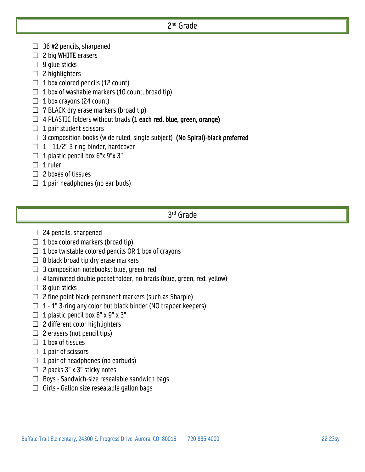### 2nd Grade

- $\Box$  36 #2 pencils, sharpened
- $\Box$  2 big WHITE erasers
- $\Box$  9 glue sticks
- $\Box$  2 highlighters
- $\Box$  1 box colored pencils (12 count)
- $\Box$  1 box of washable markers (10 count, broad tip)
- $\Box$  1 box crayons (24 count)
- $\Box$  7 BLACK dry erase markers (broad tip)
- $\Box$  4 PLASTIC folders without brads (1 each red, blue, green, orange)
- $\Box$  1 pair student scissors
- $\Box$  3 composition books (wide ruled, single subject) (No Spiral)-black preferred
- $\Box$  1 11/2" 3-ring binder, hardcover
- $\Box$  1 plastic pencil box 6"x 9"x 3"
- $\Box$  1 ruler
- $\Box$  2 boxes of tissues
- $\Box$  1 pair headphones (no ear buds)

#### 3rd Grade

- $\Box$  24 pencils, sharpened
- $\Box$  1 box colored markers (broad tip)
- $\Box$  1 box twistable colored pencils OR 1 box of crayons
- $\Box$  8 black broad tip dry erase markers
- $\Box$  3 composition notebooks: blue, green, red
- $\Box$  4 laminated double pocket folder, no brads (blue, green, red, yellow)
- $\Box$  8 glue sticks
- $\Box$  2 fine point black permanent markers (such as Sharpie)
- $\Box$  1 1" 3-ring any color but black binder (NO trapper keepers)
- $\Box$  1 plastic pencil box 6" x 9" x 3"
- $\Box$  2 different color highlighters
- $\Box$  2 erasers (not pencil tips)
- $\Box$  1 box of tissues
- $\Box$  1 pair of scissors
- $\Box$  1 pair of headphones (no earbuds)
- $\Box$  2 packs 3" x 3" sticky notes
- $\Box$  Boys Sandwich-size resealable sandwich bags
- $\Box$  Girls Gallon size resealable gallon bags